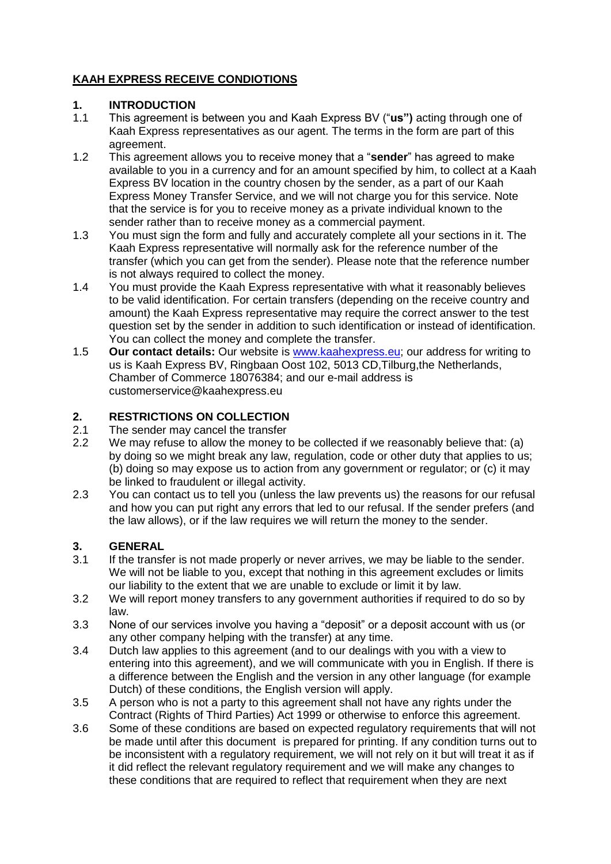# **KAAH EXPRESS RECEIVE CONDIOTIONS**

#### **1. INTRODUCTION**

- 1.1 This agreement is between you and Kaah Express BV ("**us")** acting through one of Kaah Express representatives as our agent. The terms in the form are part of this agreement.
- 1.2 This agreement allows you to receive money that a "**sender**" has agreed to make available to you in a currency and for an amount specified by him, to collect at a Kaah Express BV location in the country chosen by the sender, as a part of our Kaah Express Money Transfer Service, and we will not charge you for this service. Note that the service is for you to receive money as a private individual known to the sender rather than to receive money as a commercial payment.
- 1.3 You must sign the form and fully and accurately complete all your sections in it. The Kaah Express representative will normally ask for the reference number of the transfer (which you can get from the sender). Please note that the reference number is not always required to collect the money.
- 1.4 You must provide the Kaah Express representative with what it reasonably believes to be valid identification. For certain transfers (depending on the receive country and amount) the Kaah Express representative may require the correct answer to the test question set by the sender in addition to such identification or instead of identification. You can collect the money and complete the transfer.
- 1.5 **Our contact details:** Our website is [www.kaahexpress.eu;](http://www.kaahexpress.eu/) our address for writing to us is Kaah Express BV, Ringbaan Oost 102, 5013 CD,Tilburg,the Netherlands, Chamber of Commerce 18076384; and our e-mail address is customerservice@kaahexpress.eu

## **2. RESTRICTIONS ON COLLECTION**

- 2.1 The sender may cancel the transfer
- 2.2 We may refuse to allow the money to be collected if we reasonably believe that: (a) by doing so we might break any law, regulation, code or other duty that applies to us; (b) doing so may expose us to action from any government or regulator; or (c) it may be linked to fraudulent or illegal activity.
- 2.3 You can contact us to tell you (unless the law prevents us) the reasons for our refusal and how you can put right any errors that led to our refusal. If the sender prefers (and the law allows), or if the law requires we will return the money to the sender.

#### **3. GENERAL**

- 3.1 If the transfer is not made properly or never arrives, we may be liable to the sender. We will not be liable to you, except that nothing in this agreement excludes or limits our liability to the extent that we are unable to exclude or limit it by law.
- 3.2 We will report money transfers to any government authorities if required to do so by law.
- 3.3 None of our services involve you having a "deposit" or a deposit account with us (or any other company helping with the transfer) at any time.
- 3.4 Dutch law applies to this agreement (and to our dealings with you with a view to entering into this agreement), and we will communicate with you in English. If there is a difference between the English and the version in any other language (for example Dutch) of these conditions, the English version will apply.
- 3.5 A person who is not a party to this agreement shall not have any rights under the Contract (Rights of Third Parties) Act 1999 or otherwise to enforce this agreement.
- 3.6 Some of these conditions are based on expected regulatory requirements that will not be made until after this document is prepared for printing. If any condition turns out to be inconsistent with a regulatory requirement, we will not rely on it but will treat it as if it did reflect the relevant regulatory requirement and we will make any changes to these conditions that are required to reflect that requirement when they are next